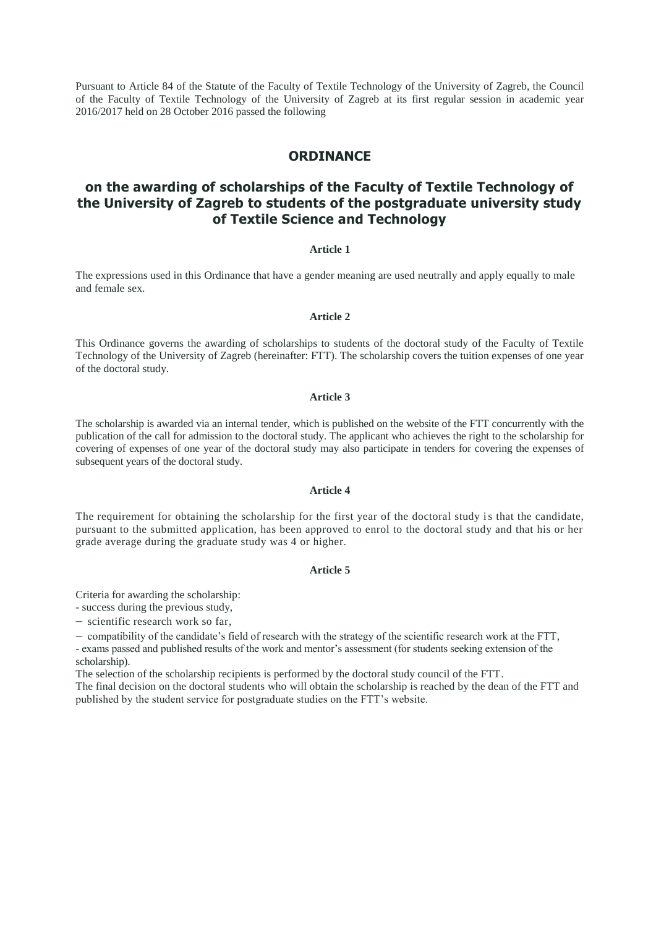Pursuant to Article 84 of the Statute of the Faculty of Textile Technology of the University of Zagreb, the Council of the Faculty of Textile Technology of the University of Zagreb at its first regular session in academic year 2016/2017 held on 28 October 2016 passed the following

## **ORDINANCE**

# **on the awarding of scholarships of the Faculty of Textile Technology of the University of Zagreb to students of the postgraduate university study of Textile Science and Technology**

## **Article 1**

The expressions used in this Ordinance that have a gender meaning are used neutrally and apply equally to male and female sex.

#### **Article 2**

This Ordinance governs the awarding of scholarships to students of the doctoral study of the Faculty of Textile Technology of the University of Zagreb (hereinafter: FTT). The scholarship covers the tuition expenses of one year of the doctoral study.

#### **Article 3**

The scholarship is awarded via an internal tender, which is published on the website of the FTT concurrently with the publication of the call for admission to the doctoral study. The applicant who achieves the right to the scholarship for covering of expenses of one year of the doctoral study may also participate in tenders for covering the expenses of subsequent years of the doctoral study.

#### **Article 4**

The requirement for obtaining the scholarship for the first year of the doctoral study is that the candidate, pursuant to the submitted application, has been approved to enrol to the doctoral study and that his or her grade average during the graduate study was 4 or higher.

### **Article 5**

Criteria for awarding the scholarship:

- success during the previous study,

 $-$  scientific research work so far,

compatibility of the candidate's field of research with the strategy of the scientific research work at the FTT,

- exams passed and published results of the work and mentor's assessment (for students seeking extension of the scholarship).

The selection of the scholarship recipients is performed by the doctoral study council of the FTT.

The final decision on the doctoral students who will obtain the scholarship is reached by the dean of the FTT and published by the student service for postgraduate studies on the FTT's website.